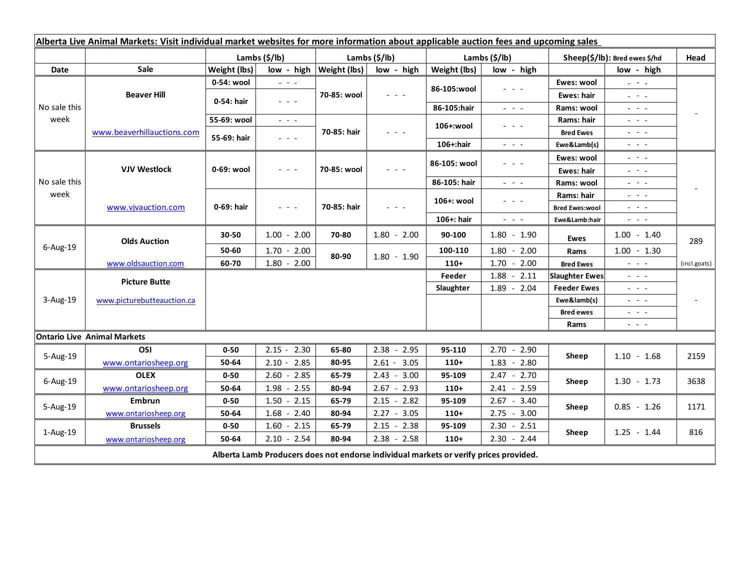| Alberta Live Animal Markets: Visit individual market websites for more information about applicable auction fees and upcoming sales |                            |               |                                                                                                                           |                           |                 |               |                                                                                                                           |                               |                                                                                                                                                                                                                                                                                                                                                                                                                                                |              |
|-------------------------------------------------------------------------------------------------------------------------------------|----------------------------|---------------|---------------------------------------------------------------------------------------------------------------------------|---------------------------|-----------------|---------------|---------------------------------------------------------------------------------------------------------------------------|-------------------------------|------------------------------------------------------------------------------------------------------------------------------------------------------------------------------------------------------------------------------------------------------------------------------------------------------------------------------------------------------------------------------------------------------------------------------------------------|--------------|
|                                                                                                                                     |                            | Lambs (\$/lb) |                                                                                                                           | Lambs (\$/lb)             |                 | Lambs (\$/lb) |                                                                                                                           | Sheep(\$/lb): Bred ewes \$/hd |                                                                                                                                                                                                                                                                                                                                                                                                                                                | Head         |
| Date                                                                                                                                | Sale                       | Weight (lbs)  |                                                                                                                           | low - high   Weight (lbs) | low - high      | Weight (lbs)  | low - high                                                                                                                |                               | low - high                                                                                                                                                                                                                                                                                                                                                                                                                                     |              |
| No sale this<br>week                                                                                                                | <b>Beaver Hill</b>         | 0-54: wool    | $\omega_{\rm c}$ and $\omega_{\rm c}$                                                                                     | 70-85: wool               | $ -$            | 86-105:wool   | $\frac{1}{2} \left( \frac{1}{2} \right) \left( \frac{1}{2} \right) \left( \frac{1}{2} \right) \left( \frac{1}{2} \right)$ | Ewes: wool                    | $\omega_{\rm{eff}}=0.1$                                                                                                                                                                                                                                                                                                                                                                                                                        |              |
|                                                                                                                                     |                            | 0-54: hair    | $\frac{1}{2} \left( \frac{1}{2} \right) \left( \frac{1}{2} \right) \left( \frac{1}{2} \right) \left( \frac{1}{2} \right)$ |                           |                 |               |                                                                                                                           | Ewes: hair                    | 20 milion                                                                                                                                                                                                                                                                                                                                                                                                                                      |              |
|                                                                                                                                     |                            |               |                                                                                                                           |                           |                 | 86-105:hair   | $\frac{1}{2} \left( \frac{1}{2} \right) \frac{1}{2} \left( \frac{1}{2} \right) \frac{1}{2} \left( \frac{1}{2} \right)$    | Rams: wool                    | $  -$                                                                                                                                                                                                                                                                                                                                                                                                                                          |              |
|                                                                                                                                     | www.beaverhillauctions.com | 55-69: wool   | $\omega_{\rm{eff}}$ and $\omega_{\rm{eff}}$                                                                               | 70-85: hair               | $  -$           | 106+:wool     | - - -                                                                                                                     | Rams: hair                    | $  -$                                                                                                                                                                                                                                                                                                                                                                                                                                          |              |
|                                                                                                                                     |                            | 55-69: hair   | $\omega_{\rm{c}}$ , $\omega_{\rm{c}}$ , $\omega_{\rm{c}}$                                                                 |                           |                 |               |                                                                                                                           | <b>Bred Ewes</b>              | $\frac{1}{2} \left( \frac{1}{2} \right) = \frac{1}{2} \left( \frac{1}{2} \right)$                                                                                                                                                                                                                                                                                                                                                              |              |
|                                                                                                                                     |                            |               |                                                                                                                           |                           |                 | 106+:hair     | $\omega_{\rm{eff}}$ and $\omega_{\rm{eff}}$                                                                               | Ewe&Lamb(s)                   | $\frac{1}{2} \left( \frac{1}{2} \right) \left( \frac{1}{2} \right) \left( \frac{1}{2} \right) \left( \frac{1}{2} \right)$                                                                                                                                                                                                                                                                                                                      |              |
| No sale this<br>week                                                                                                                | <b>VJV Westlock</b>        | 0-69: wool    | $\frac{1}{2} \left( \frac{1}{2} \right) \left( \frac{1}{2} \right) \left( \frac{1}{2} \right) \left( \frac{1}{2} \right)$ | 70-85: wool               | - - -           | 86-105: wool  | $\frac{1}{2} \left( \frac{1}{2} \right) \left( \frac{1}{2} \right) \left( \frac{1}{2} \right) \left( \frac{1}{2} \right)$ | Ewes: wool                    | $\frac{1}{2} \left( \frac{1}{2} \right) = \frac{1}{2} \left( \frac{1}{2} \right)$                                                                                                                                                                                                                                                                                                                                                              |              |
|                                                                                                                                     |                            |               |                                                                                                                           |                           |                 |               |                                                                                                                           | Ewes: hair                    | $\frac{1}{2} \left( \frac{1}{2} \right) = \frac{1}{2} \left( \frac{1}{2} \right)$                                                                                                                                                                                                                                                                                                                                                              |              |
|                                                                                                                                     |                            |               |                                                                                                                           |                           |                 | 86-105: hair  | $\frac{1}{2} \left( \frac{1}{2} \right) = \frac{1}{2} \left( \frac{1}{2} \right) = \frac{1}{2}$                           | Rams: wool                    | $  -$                                                                                                                                                                                                                                                                                                                                                                                                                                          |              |
|                                                                                                                                     | www.vjvauction.com         | 0-69: hair    | $  -$                                                                                                                     | 70-85: hair               | 20 A G          | 106+: wool    | - - -                                                                                                                     | Rams: hair                    | $  -$                                                                                                                                                                                                                                                                                                                                                                                                                                          |              |
|                                                                                                                                     |                            |               |                                                                                                                           |                           |                 |               |                                                                                                                           | <b>Bred Ewes:wool</b>         | $\omega_{\rm{eff}}$ and $\omega_{\rm{eff}}$                                                                                                                                                                                                                                                                                                                                                                                                    |              |
|                                                                                                                                     |                            |               |                                                                                                                           |                           |                 | 106+: hair    | $\omega_{\rm{eff}}$ and $\omega_{\rm{eff}}$                                                                               | Ewe&Lamb:hair                 | $\omega_{\rm{c}}$ , $\omega_{\rm{c}}$ , $\omega_{\rm{c}}$                                                                                                                                                                                                                                                                                                                                                                                      |              |
| 6-Aug-19                                                                                                                            | <b>Olds Auction</b>        | 30-50         | $1.00 - 2.00$                                                                                                             | 70-80                     | $1.80 - 2.00$   | 90-100        | $1.80 - 1.90$                                                                                                             | Ewes                          | $1.00 - 1.40$                                                                                                                                                                                                                                                                                                                                                                                                                                  | 289          |
|                                                                                                                                     |                            | 50-60         | $1.70 - 2.00$                                                                                                             | 80-90                     | $1.80 - 1.90$   | 100-110       | $1.80 - 2.00$                                                                                                             | Rams                          | $1.00 - 1.30$                                                                                                                                                                                                                                                                                                                                                                                                                                  |              |
|                                                                                                                                     | www.oldsauction.com        | 60-70         | $1.80 - 2.00$                                                                                                             |                           |                 | $110+$        | $1.70 - 2.00$                                                                                                             | <b>Bred Ewes</b>              | $\frac{1}{2} \left( \frac{1}{2} \right) \left( \frac{1}{2} \right) \left( \frac{1}{2} \right) \left( \frac{1}{2} \right)$                                                                                                                                                                                                                                                                                                                      | (incl.goats) |
| 3-Aug-19                                                                                                                            | <b>Picture Butte</b>       |               |                                                                                                                           |                           |                 |               | 1.88<br>$-2.11$                                                                                                           | <b>Slaughter Ewes</b>         | $\frac{1}{2} \left( \frac{1}{2} \right) \left( \frac{1}{2} \right) \left( \frac{1}{2} \right) \left( \frac{1}{2} \right)$                                                                                                                                                                                                                                                                                                                      |              |
|                                                                                                                                     | www.picturebutteauction.ca |               |                                                                                                                           |                           |                 | Slaughter     | $1.89 - 2.04$                                                                                                             | <b>Feeder Ewes</b>            | $\frac{1}{2} \left( \frac{1}{2} \right) = \frac{1}{2} \left( \frac{1}{2} \right)$                                                                                                                                                                                                                                                                                                                                                              |              |
|                                                                                                                                     |                            |               |                                                                                                                           |                           |                 |               |                                                                                                                           | Ewe&lamb(s)                   | $\frac{1}{2} \left( \frac{1}{2} \right) = \frac{1}{2} \left( \frac{1}{2} \right)$                                                                                                                                                                                                                                                                                                                                                              |              |
|                                                                                                                                     |                            |               |                                                                                                                           |                           |                 |               |                                                                                                                           | <b>Bred ewes</b>              | $\frac{1}{2} \left( \frac{1}{2} \right) \frac{1}{2} \left( \frac{1}{2} \right) \frac{1}{2} \left( \frac{1}{2} \right) \frac{1}{2} \left( \frac{1}{2} \right) \frac{1}{2} \left( \frac{1}{2} \right) \frac{1}{2} \left( \frac{1}{2} \right) \frac{1}{2} \left( \frac{1}{2} \right) \frac{1}{2} \left( \frac{1}{2} \right) \frac{1}{2} \left( \frac{1}{2} \right) \frac{1}{2} \left( \frac{1}{2} \right) \frac{1}{2} \left( \frac{1}{2} \right)$ |              |
|                                                                                                                                     |                            |               |                                                                                                                           |                           |                 |               |                                                                                                                           | Rams                          | $\frac{1}{2} \left( \frac{1}{2} \right) \frac{1}{2} \left( \frac{1}{2} \right) \frac{1}{2} \left( \frac{1}{2} \right)$                                                                                                                                                                                                                                                                                                                         |              |
| <b>Ontario Live Animal Markets</b>                                                                                                  |                            |               |                                                                                                                           |                           |                 |               |                                                                                                                           |                               |                                                                                                                                                                                                                                                                                                                                                                                                                                                |              |
| 5-Aug-19                                                                                                                            | OSI                        | $0 - 50$      | 2.30<br>$2.15 -$                                                                                                          | 65-80                     | $2.38 - 2.95$   | 95-110        | $2.70 - 2.90$                                                                                                             | Sheep                         | $1.10 - 1.68$                                                                                                                                                                                                                                                                                                                                                                                                                                  | 2159         |
|                                                                                                                                     | www.ontariosheep.org       | 50-64         | 2.85<br>$2.10 -$                                                                                                          | 80-95                     | $2.61 - 3.05$   | $110+$        | $1.83 - 2.80$                                                                                                             |                               |                                                                                                                                                                                                                                                                                                                                                                                                                                                |              |
| 6-Aug-19                                                                                                                            | <b>OLEX</b>                | $0 - 50$      | 2.85<br>$2.60 -$                                                                                                          | 65-79                     | $2.43 - 3.00$   | 95-109        | $2.47 - 2.70$                                                                                                             | Sheep                         | $1.30 - 1.73$                                                                                                                                                                                                                                                                                                                                                                                                                                  | 3638         |
|                                                                                                                                     | www.ontariosheep.org       | 50-64         | 1.98<br>2.55<br>$\sim$                                                                                                    | 80-94                     | $2.67 - 2.93$   | $110+$        | $2.41 - 2.59$                                                                                                             |                               |                                                                                                                                                                                                                                                                                                                                                                                                                                                |              |
| 5-Aug-19                                                                                                                            | <b>Embrun</b>              | $0 - 50$      | 2.15<br>$1.50 -$                                                                                                          | 65-79                     | $-2.82$<br>2.15 | 95-109        | $2.67 - 3.40$                                                                                                             | Sheep                         | $0.85 - 1.26$                                                                                                                                                                                                                                                                                                                                                                                                                                  | 1171         |
|                                                                                                                                     | www.ontariosheep.org       | 50-64         | $1.68 -$<br>2.40                                                                                                          | 80-94                     | $2.27 - 3.05$   | $110+$        | $2.75 - 3.00$                                                                                                             |                               |                                                                                                                                                                                                                                                                                                                                                                                                                                                |              |
| 1-Aug-19                                                                                                                            | <b>Brussels</b>            | $0 - 50$      | $1.60 - 2.15$                                                                                                             | 65-79                     | $2.15 - 2.38$   | 95-109        | 2.30<br>$-2.51$                                                                                                           | Sheep                         | $1.25 - 1.44$                                                                                                                                                                                                                                                                                                                                                                                                                                  | 816          |
|                                                                                                                                     | www.ontariosheep.org       | 50-64         | $2.10 - 2.54$                                                                                                             | 80-94                     | $2.38 - 2.58$   | $110+$        | $2.30 - 2.44$                                                                                                             |                               |                                                                                                                                                                                                                                                                                                                                                                                                                                                |              |
| Alberta Lamb Producers does not endorse individual markets or verify prices provided.                                               |                            |               |                                                                                                                           |                           |                 |               |                                                                                                                           |                               |                                                                                                                                                                                                                                                                                                                                                                                                                                                |              |